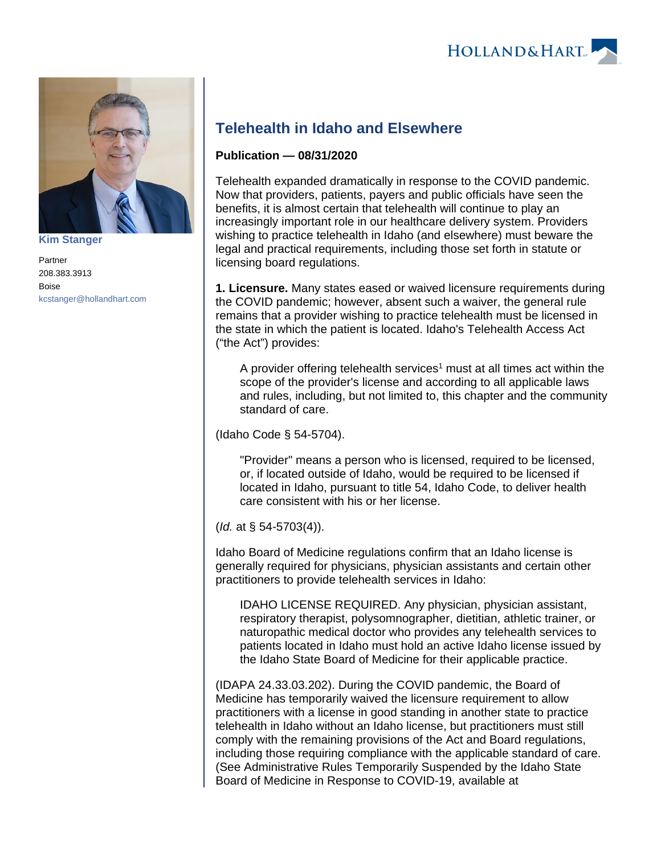



**[Kim Stanger](https://www.hollandhart.com/15954)**

Partner 208.383.3913 Boise [kcstanger@hollandhart.com](mailto:kcstanger@hollandhart.com)

## **Telehealth in Idaho and Elsewhere**

## **Publication — 08/31/2020**

Telehealth expanded dramatically in response to the COVID pandemic. Now that providers, patients, payers and public officials have seen the benefits, it is almost certain that telehealth will continue to play an increasingly important role in our healthcare delivery system. Providers wishing to practice telehealth in Idaho (and elsewhere) must beware the legal and practical requirements, including those set forth in statute or licensing board regulations.

**1. Licensure.** Many states eased or waived licensure requirements during the COVID pandemic; however, absent such a waiver, the general rule remains that a provider wishing to practice telehealth must be licensed in the state in which the patient is located. Idaho's Telehealth Access Act ("the Act") provides:

A provider offering telehealth services<sup>1</sup> must at all times act within the scope of the provider's license and according to all applicable laws and rules, including, but not limited to, this chapter and the community standard of care.

(Idaho Code § 54-5704).

"Provider" means a person who is licensed, required to be licensed, or, if located outside of Idaho, would be required to be licensed if located in Idaho, pursuant to title 54, Idaho Code, to deliver health care consistent with his or her license.

(Id. at § 54-5703(4)).

Idaho Board of Medicine regulations confirm that an Idaho license is generally required for physicians, physician assistants and certain other practitioners to provide telehealth services in Idaho:

IDAHO LICENSE REQUIRED. Any physician, physician assistant, respiratory therapist, polysomnographer, dietitian, athletic trainer, or naturopathic medical doctor who provides any telehealth services to patients located in Idaho must hold an active Idaho license issued by the Idaho State Board of Medicine for their applicable practice.

(IDAPA 24.33.03.202). During the COVID pandemic, the Board of Medicine has temporarily waived the licensure requirement to allow practitioners with a license in good standing in another state to practice telehealth in Idaho without an Idaho license, but practitioners must still comply with the remaining provisions of the Act and Board regulations, including those requiring compliance with the applicable standard of care. (See Administrative Rules Temporarily Suspended by the Idaho State Board of Medicine in Response to COVID-19, available at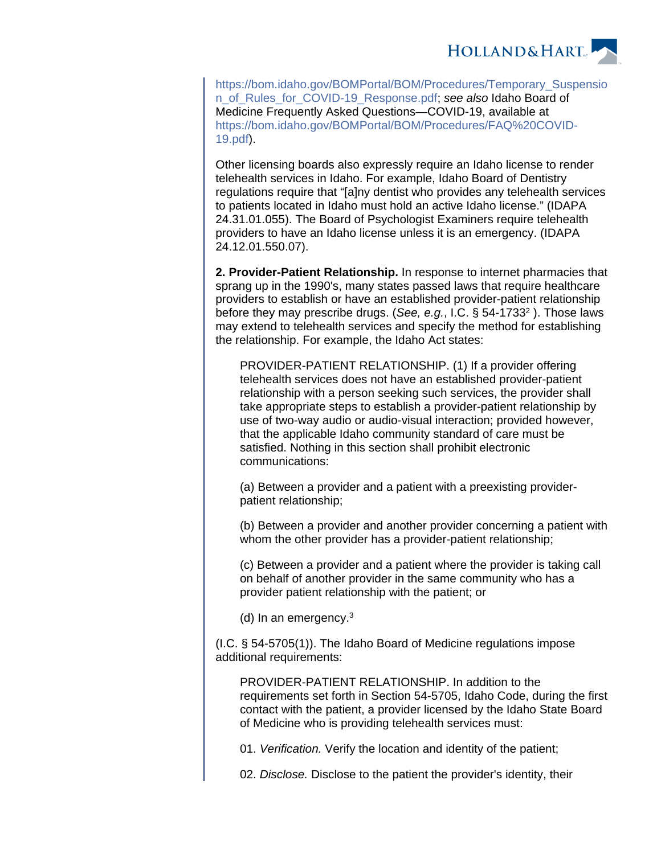

[https://bom.idaho.gov/BOMPortal/BOM/Procedures/Temporary\\_Suspensio](https://bom.idaho.gov/BOMPortal/BOM/Procedures/Temporary_Suspension_of_Rules_for_COVID-19_Response.pdf) [n\\_of\\_Rules\\_for\\_COVID-19\\_Response.pdf](https://bom.idaho.gov/BOMPortal/BOM/Procedures/Temporary_Suspension_of_Rules_for_COVID-19_Response.pdf); see also Idaho Board of Medicine Frequently Asked Questions—COVID-19, available at [https://bom.idaho.gov/BOMPortal/BOM/Procedures/FAQ%20COVID-](https://bom.idaho.gov/BOMPortal/BOM/Procedures/FAQ%2520COVID-19.pdf)[19.pdf](https://bom.idaho.gov/BOMPortal/BOM/Procedures/FAQ%2520COVID-19.pdf)).

Other licensing boards also expressly require an Idaho license to render telehealth services in Idaho. For example, Idaho Board of Dentistry regulations require that "[a]ny dentist who provides any telehealth services to patients located in Idaho must hold an active Idaho license." (IDAPA 24.31.01.055). The Board of Psychologist Examiners require telehealth providers to have an Idaho license unless it is an emergency. (IDAPA 24.12.01.550.07).

**2. Provider-Patient Relationship.** In response to internet pharmacies that sprang up in the 1990's, many states passed laws that require healthcare providers to establish or have an established provider-patient relationship before they may prescribe drugs. (See, e.g., I.C. § 54-1733<sup>2</sup>). Those laws may extend to telehealth services and specify the method for establishing the relationship. For example, the Idaho Act states:

PROVIDER-PATIENT RELATIONSHIP. (1) If a provider offering telehealth services does not have an established provider-patient relationship with a person seeking such services, the provider shall take appropriate steps to establish a provider-patient relationship by use of two-way audio or audio-visual interaction; provided however, that the applicable Idaho community standard of care must be satisfied. Nothing in this section shall prohibit electronic communications:

(a) Between a provider and a patient with a preexisting providerpatient relationship;

(b) Between a provider and another provider concerning a patient with whom the other provider has a provider-patient relationship;

(c) Between a provider and a patient where the provider is taking call on behalf of another provider in the same community who has a provider patient relationship with the patient; or

(d) In an emergency.<sup>3</sup>

(I.C. § 54-5705(1)). The Idaho Board of Medicine regulations impose additional requirements:

PROVIDER-PATIENT RELATIONSHIP. In addition to the requirements set forth in Section 54-5705, Idaho Code, during the first contact with the patient, a provider licensed by the Idaho State Board of Medicine who is providing telehealth services must:

01. Verification. Verify the location and identity of the patient;

02. Disclose. Disclose to the patient the provider's identity, their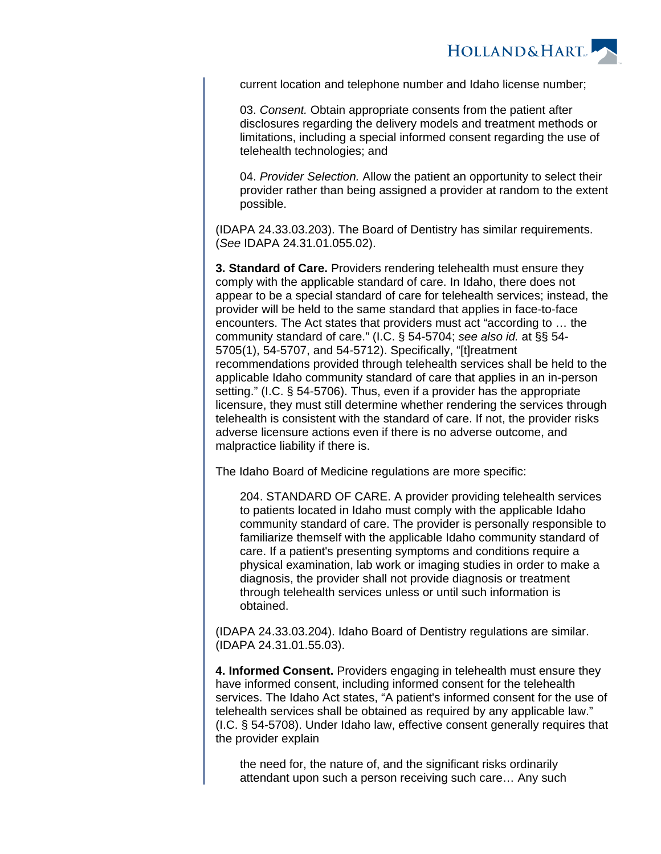

current location and telephone number and Idaho license number;

03. Consent. Obtain appropriate consents from the patient after disclosures regarding the delivery models and treatment methods or limitations, including a special informed consent regarding the use of telehealth technologies; and

04. Provider Selection. Allow the patient an opportunity to select their provider rather than being assigned a provider at random to the extent possible.

(IDAPA 24.33.03.203). The Board of Dentistry has similar requirements. (See IDAPA 24.31.01.055.02).

**3. Standard of Care.** Providers rendering telehealth must ensure they comply with the applicable standard of care. In Idaho, there does not appear to be a special standard of care for telehealth services; instead, the provider will be held to the same standard that applies in face-to-face encounters. The Act states that providers must act "according to … the community standard of care." (I.C. § 54-5704; see also id. at §§ 54- 5705(1), 54-5707, and 54-5712). Specifically, "[t]reatment recommendations provided through telehealth services shall be held to the applicable Idaho community standard of care that applies in an in-person setting." (I.C. § 54-5706). Thus, even if a provider has the appropriate licensure, they must still determine whether rendering the services through telehealth is consistent with the standard of care. If not, the provider risks adverse licensure actions even if there is no adverse outcome, and malpractice liability if there is.

The Idaho Board of Medicine regulations are more specific:

204. STANDARD OF CARE. A provider providing telehealth services to patients located in Idaho must comply with the applicable Idaho community standard of care. The provider is personally responsible to familiarize themself with the applicable Idaho community standard of care. If a patient's presenting symptoms and conditions require a physical examination, lab work or imaging studies in order to make a diagnosis, the provider shall not provide diagnosis or treatment through telehealth services unless or until such information is obtained.

(IDAPA 24.33.03.204). Idaho Board of Dentistry regulations are similar. (IDAPA 24.31.01.55.03).

**4. Informed Consent.** Providers engaging in telehealth must ensure they have informed consent, including informed consent for the telehealth services. The Idaho Act states, "A patient's informed consent for the use of telehealth services shall be obtained as required by any applicable law." (I.C. § 54-5708). Under Idaho law, effective consent generally requires that the provider explain

the need for, the nature of, and the significant risks ordinarily attendant upon such a person receiving such care… Any such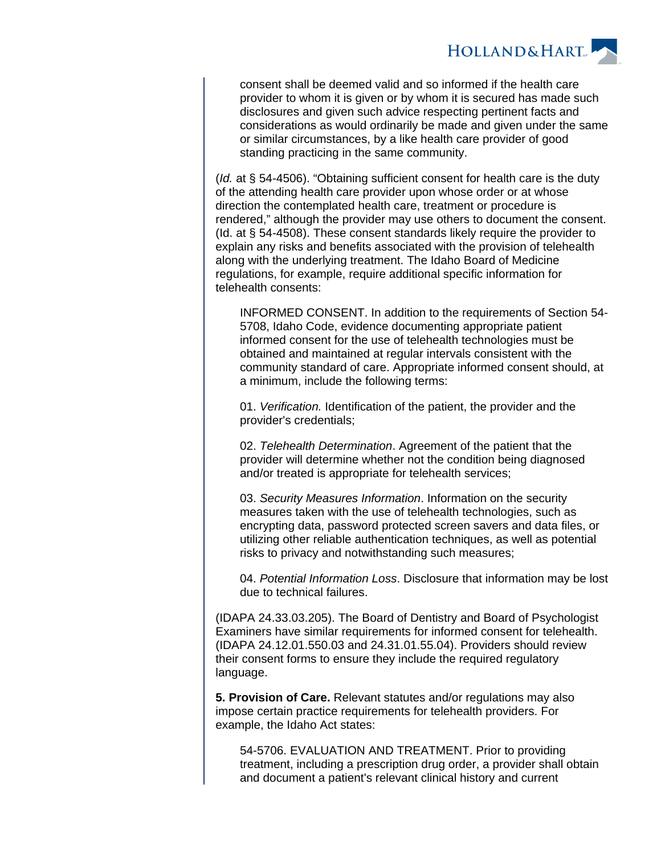

consent shall be deemed valid and so informed if the health care provider to whom it is given or by whom it is secured has made such disclosures and given such advice respecting pertinent facts and considerations as would ordinarily be made and given under the same or similar circumstances, by a like health care provider of good standing practicing in the same community.

(Id. at § 54-4506). "Obtaining sufficient consent for health care is the duty of the attending health care provider upon whose order or at whose direction the contemplated health care, treatment or procedure is rendered," although the provider may use others to document the consent. (Id. at § 54-4508). These consent standards likely require the provider to explain any risks and benefits associated with the provision of telehealth along with the underlying treatment. The Idaho Board of Medicine regulations, for example, require additional specific information for telehealth consents:

INFORMED CONSENT. In addition to the requirements of Section 54- 5708, Idaho Code, evidence documenting appropriate patient informed consent for the use of telehealth technologies must be obtained and maintained at regular intervals consistent with the community standard of care. Appropriate informed consent should, at a minimum, include the following terms:

01. Verification. Identification of the patient, the provider and the provider's credentials;

02. Telehealth Determination. Agreement of the patient that the provider will determine whether not the condition being diagnosed and/or treated is appropriate for telehealth services;

03. Security Measures Information. Information on the security measures taken with the use of telehealth technologies, such as encrypting data, password protected screen savers and data files, or utilizing other reliable authentication techniques, as well as potential risks to privacy and notwithstanding such measures;

04. Potential Information Loss. Disclosure that information may be lost due to technical failures.

(IDAPA 24.33.03.205). The Board of Dentistry and Board of Psychologist Examiners have similar requirements for informed consent for telehealth. (IDAPA 24.12.01.550.03 and 24.31.01.55.04). Providers should review their consent forms to ensure they include the required regulatory language.

**5. Provision of Care.** Relevant statutes and/or regulations may also impose certain practice requirements for telehealth providers. For example, the Idaho Act states:

54-5706. EVALUATION AND TREATMENT. Prior to providing treatment, including a prescription drug order, a provider shall obtain and document a patient's relevant clinical history and current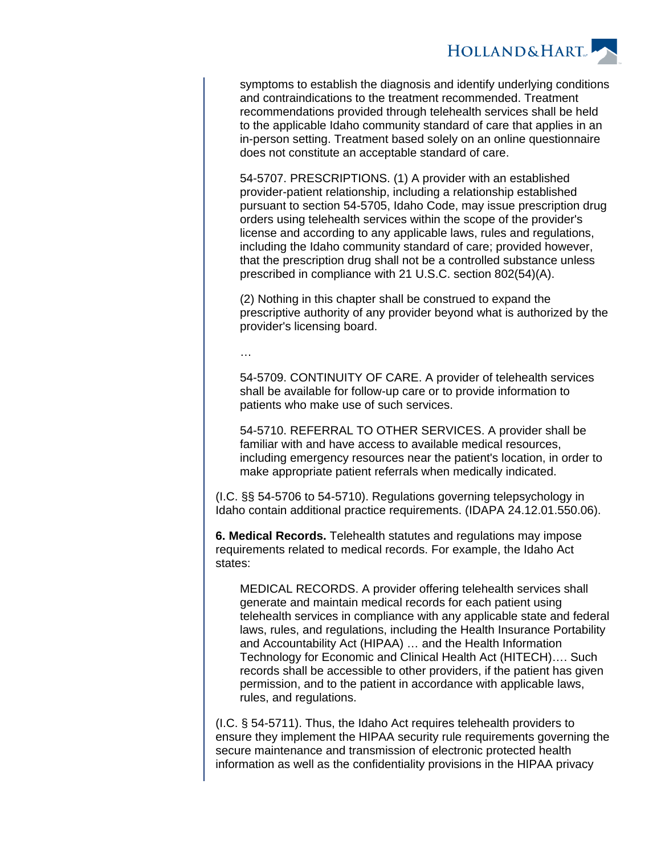

symptoms to establish the diagnosis and identify underlying conditions and contraindications to the treatment recommended. Treatment recommendations provided through telehealth services shall be held to the applicable Idaho community standard of care that applies in an in-person setting. Treatment based solely on an online questionnaire does not constitute an acceptable standard of care.

54-5707. PRESCRIPTIONS. (1) A provider with an established provider-patient relationship, including a relationship established pursuant to section 54-5705, Idaho Code, may issue prescription drug orders using telehealth services within the scope of the provider's license and according to any applicable laws, rules and regulations, including the Idaho community standard of care; provided however, that the prescription drug shall not be a controlled substance unless prescribed in compliance with 21 U.S.C. section 802(54)(A).

(2) Nothing in this chapter shall be construed to expand the prescriptive authority of any provider beyond what is authorized by the provider's licensing board.

…

54-5709. CONTINUITY OF CARE. A provider of telehealth services shall be available for follow-up care or to provide information to patients who make use of such services.

54-5710. REFERRAL TO OTHER SERVICES. A provider shall be familiar with and have access to available medical resources, including emergency resources near the patient's location, in order to make appropriate patient referrals when medically indicated.

(I.C. §§ 54-5706 to 54-5710). Regulations governing telepsychology in Idaho contain additional practice requirements. (IDAPA 24.12.01.550.06).

**6. Medical Records.** Telehealth statutes and regulations may impose requirements related to medical records. For example, the Idaho Act states:

MEDICAL RECORDS. A provider offering telehealth services shall generate and maintain medical records for each patient using telehealth services in compliance with any applicable state and federal laws, rules, and regulations, including the Health Insurance Portability and Accountability Act (HIPAA) … and the Health Information Technology for Economic and Clinical Health Act (HITECH)…. Such records shall be accessible to other providers, if the patient has given permission, and to the patient in accordance with applicable laws, rules, and regulations.

(I.C. § 54-5711). Thus, the Idaho Act requires telehealth providers to ensure they implement the HIPAA security rule requirements governing the secure maintenance and transmission of electronic protected health information as well as the confidentiality provisions in the HIPAA privacy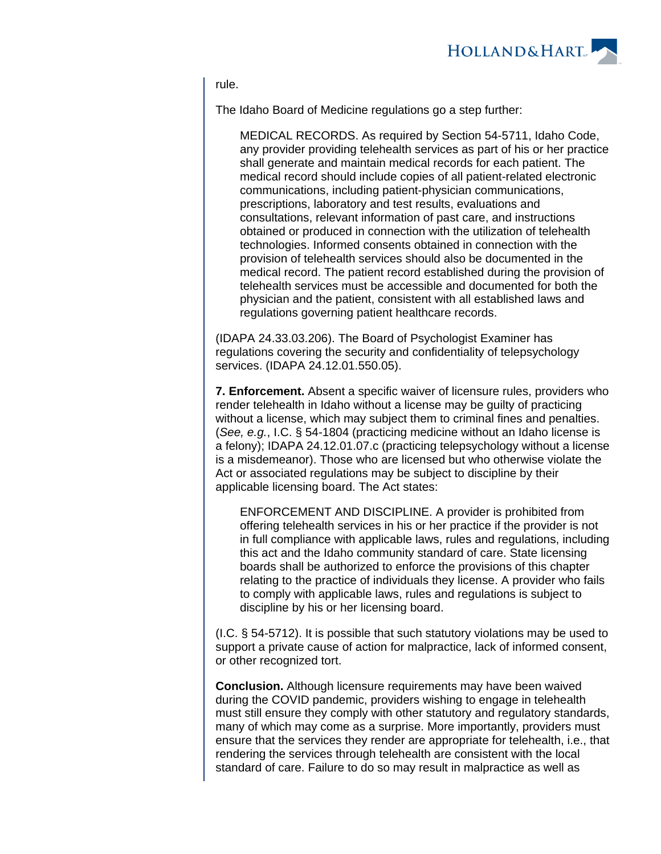

rule.

The Idaho Board of Medicine regulations go a step further:

MEDICAL RECORDS. As required by Section 54-5711, Idaho Code, any provider providing telehealth services as part of his or her practice shall generate and maintain medical records for each patient. The medical record should include copies of all patient-related electronic communications, including patient-physician communications, prescriptions, laboratory and test results, evaluations and consultations, relevant information of past care, and instructions obtained or produced in connection with the utilization of telehealth technologies. Informed consents obtained in connection with the provision of telehealth services should also be documented in the medical record. The patient record established during the provision of telehealth services must be accessible and documented for both the physician and the patient, consistent with all established laws and regulations governing patient healthcare records.

(IDAPA 24.33.03.206). The Board of Psychologist Examiner has regulations covering the security and confidentiality of telepsychology services. (IDAPA 24.12.01.550.05).

**7. Enforcement.** Absent a specific waiver of licensure rules, providers who render telehealth in Idaho without a license may be guilty of practicing without a license, which may subject them to criminal fines and penalties. (See, e.g., I.C. § 54-1804 (practicing medicine without an Idaho license is a felony); IDAPA 24.12.01.07.c (practicing telepsychology without a license is a misdemeanor). Those who are licensed but who otherwise violate the Act or associated regulations may be subject to discipline by their applicable licensing board. The Act states:

ENFORCEMENT AND DISCIPLINE. A provider is prohibited from offering telehealth services in his or her practice if the provider is not in full compliance with applicable laws, rules and regulations, including this act and the Idaho community standard of care. State licensing boards shall be authorized to enforce the provisions of this chapter relating to the practice of individuals they license. A provider who fails to comply with applicable laws, rules and regulations is subject to discipline by his or her licensing board.

(I.C. § 54-5712). It is possible that such statutory violations may be used to support a private cause of action for malpractice, lack of informed consent, or other recognized tort.

**Conclusion.** Although licensure requirements may have been waived during the COVID pandemic, providers wishing to engage in telehealth must still ensure they comply with other statutory and regulatory standards, many of which may come as a surprise. More importantly, providers must ensure that the services they render are appropriate for telehealth, i.e., that rendering the services through telehealth are consistent with the local standard of care. Failure to do so may result in malpractice as well as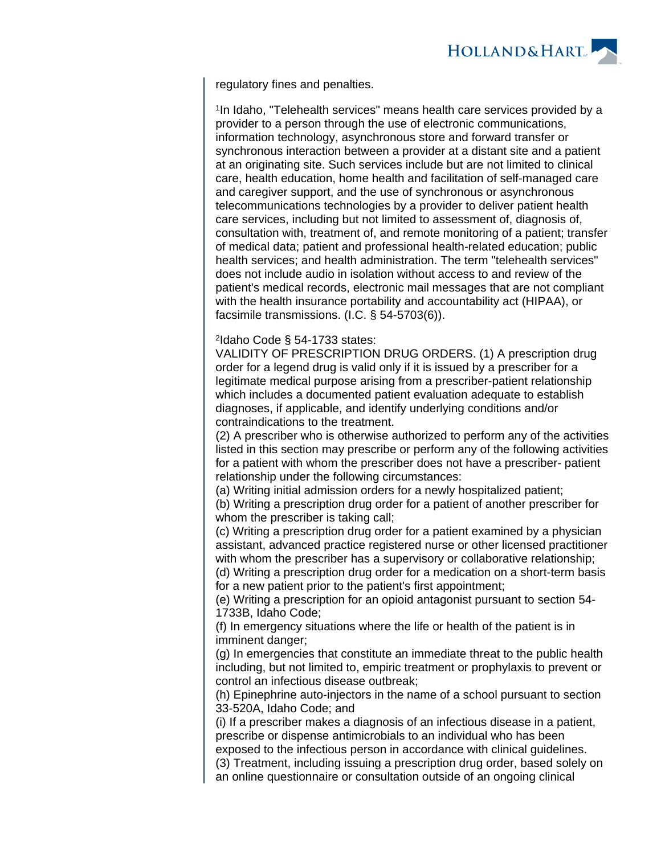

regulatory fines and penalties.

<sup>1</sup>In Idaho, "Telehealth services" means health care services provided by a provider to a person through the use of electronic communications, information technology, asynchronous store and forward transfer or synchronous interaction between a provider at a distant site and a patient at an originating site. Such services include but are not limited to clinical care, health education, home health and facilitation of self-managed care and caregiver support, and the use of synchronous or asynchronous telecommunications technologies by a provider to deliver patient health care services, including but not limited to assessment of, diagnosis of, consultation with, treatment of, and remote monitoring of a patient; transfer of medical data; patient and professional health-related education; public health services; and health administration. The term "telehealth services" does not include audio in isolation without access to and review of the patient's medical records, electronic mail messages that are not compliant with the health insurance portability and accountability act (HIPAA), or facsimile transmissions. (I.C. § 54-5703(6)).

2 Idaho Code § 54-1733 states:

VALIDITY OF PRESCRIPTION DRUG ORDERS. (1) A prescription drug order for a legend drug is valid only if it is issued by a prescriber for a legitimate medical purpose arising from a prescriber-patient relationship which includes a documented patient evaluation adequate to establish diagnoses, if applicable, and identify underlying conditions and/or contraindications to the treatment.

(2) A prescriber who is otherwise authorized to perform any of the activities listed in this section may prescribe or perform any of the following activities for a patient with whom the prescriber does not have a prescriber- patient relationship under the following circumstances:

(a) Writing initial admission orders for a newly hospitalized patient;

(b) Writing a prescription drug order for a patient of another prescriber for whom the prescriber is taking call:

(c) Writing a prescription drug order for a patient examined by a physician assistant, advanced practice registered nurse or other licensed practitioner with whom the prescriber has a supervisory or collaborative relationship;

(d) Writing a prescription drug order for a medication on a short-term basis for a new patient prior to the patient's first appointment;

(e) Writing a prescription for an opioid antagonist pursuant to section 54- 1733B, Idaho Code;

(f) In emergency situations where the life or health of the patient is in imminent danger;

(g) In emergencies that constitute an immediate threat to the public health including, but not limited to, empiric treatment or prophylaxis to prevent or control an infectious disease outbreak;

(h) Epinephrine auto-injectors in the name of a school pursuant to section 33-520A, Idaho Code; and

(i) If a prescriber makes a diagnosis of an infectious disease in a patient, prescribe or dispense antimicrobials to an individual who has been

exposed to the infectious person in accordance with clinical guidelines.

(3) Treatment, including issuing a prescription drug order, based solely on an online questionnaire or consultation outside of an ongoing clinical